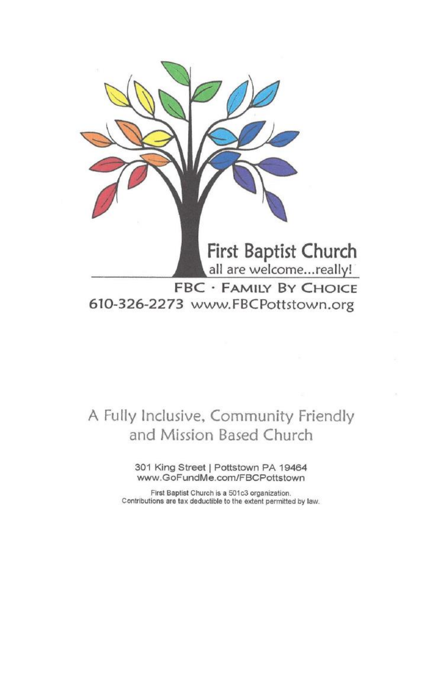

all are welcome...really! **FBC · FAMILY BY CHOICE** 

610-326-2273 www.FBCPottstown.org

### A Fully Inclusive, Community Friendly and Mission Based Church

301 King Street | Pottstown PA 19464 www.GoFundMe.com/FBCPottstown

First Baptist Church is a 501c3 organization. Contributions are tax deductible to the extent permitted by law.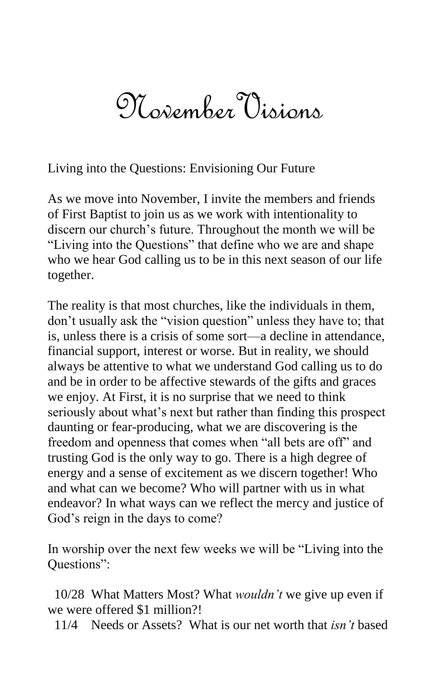# NovemberVisions

Living into the Questions: Envisioning Our Future

As we move into November, I invite the members and friends of First Baptist to join us as we work with intentionality to discern our church's future. Throughout the month we will be "Living into the Questions" that define who we are and shape who we hear God calling us to be in this next season of our life together.

The reality is that most churches, like the individuals in them, don't usually ask the "vision question" unless they have to; that is, unless there is a crisis of some sort—a decline in attendance, financial support, interest or worse. But in reality, we should always be attentive to what we understand God calling us to do and be in order to be affective stewards of the gifts and graces we enjoy. At First, it is no surprise that we need to think seriously about what's next but rather than finding this prospect daunting or fear-producing, what we are discovering is the freedom and openness that comes when "all bets are off" and trusting God is the only way to go. There is a high degree of energy and a sense of excitement as we discern together! Who and what can we become? Who will partner with us in what endeavor? In what ways can we reflect the mercy and justice of God's reign in the days to come?

In worship over the next few weeks we will be "Living into the Questions":

 10/28 What Matters Most? What *wouldn't* we give up even if we were offered \$1 million?!

11/4 Needs or Assets? What is our net worth that *isn't* based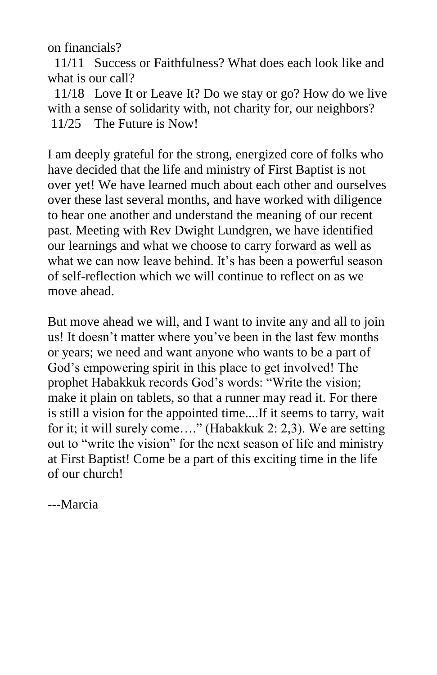on financials?

 11/11 Success or Faithfulness? What does each look like and what is our call?

 11/18 Love It or Leave It? Do we stay or go? How do we live with a sense of solidarity with, not charity for, our neighbors? 11/25 The Future is Now!

I am deeply grateful for the strong, energized core of folks who have decided that the life and ministry of First Baptist is not over yet! We have learned much about each other and ourselves over these last several months, and have worked with diligence to hear one another and understand the meaning of our recent past. Meeting with Rev Dwight Lundgren, we have identified our learnings and what we choose to carry forward as well as what we can now leave behind. It's has been a powerful season of self-reflection which we will continue to reflect on as we move ahead.

But move ahead we will, and I want to invite any and all to join us! It doesn't matter where you've been in the last few months or years; we need and want anyone who wants to be a part of God's empowering spirit in this place to get involved! The prophet Habakkuk records God's words: "Write the vision; make it plain on tablets, so that a runner may read it. For there is still a vision for the appointed time....If it seems to tarry, wait for it; it will surely come…." (Habakkuk 2: 2,3). We are setting out to "write the vision" for the next season of life and ministry at First Baptist! Come be a part of this exciting time in the life of our church!

---Marcia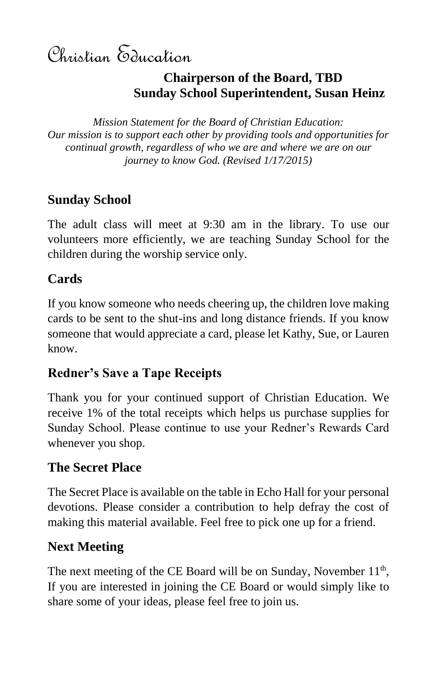Christian Education

#### **Chairperson of the Board, TBD Sunday School Superintendent, Susan Heinz**

*Mission Statement for the Board of Christian Education: Our mission is to support each other by providing tools and opportunities for continual growth, regardless of who we are and where we are on our journey to know God. (Revised 1/17/2015)*

#### **Sunday School**

The adult class will meet at 9:30 am in the library. To use our volunteers more efficiently, we are teaching Sunday School for the children during the worship service only.

#### **Cards**

If you know someone who needs cheering up, the children love making cards to be sent to the shut-ins and long distance friends. If you know someone that would appreciate a card, please let Kathy, Sue, or Lauren know.

#### **Redner's Save a Tape Receipts**

Thank you for your continued support of Christian Education. We receive 1% of the total receipts which helps us purchase supplies for Sunday School. Please continue to use your Redner's Rewards Card whenever you shop.

#### **The Secret Place**

The Secret Place is available on the table in Echo Hall for your personal devotions. Please consider a contribution to help defray the cost of making this material available. Feel free to pick one up for a friend.

### **Next Meeting**

The next meeting of the CE Board will be on Sunday, November  $11<sup>th</sup>$ , If you are interested in joining the CE Board or would simply like to share some of your ideas, please feel free to join us.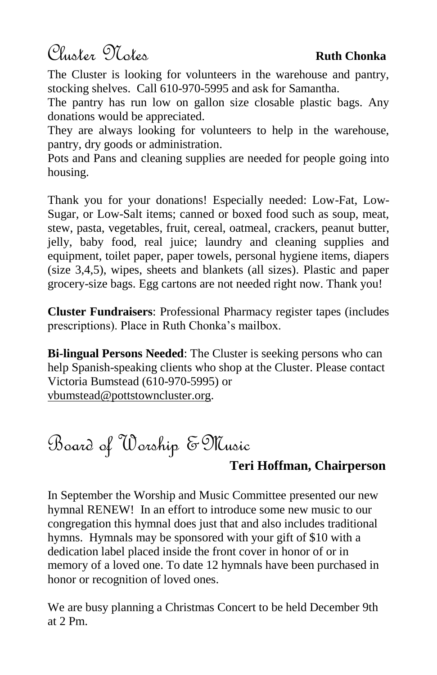Cluster Notes **Ruth Chonka**

The Cluster is looking for volunteers in the warehouse and pantry, stocking shelves. Call 610-970-5995 and ask for Samantha.

The pantry has run low on gallon size closable plastic bags. Any donations would be appreciated.

They are always looking for volunteers to help in the warehouse, pantry, dry goods or administration.

Pots and Pans and cleaning supplies are needed for people going into housing.

Thank you for your donations! Especially needed: Low-Fat, Low-Sugar, or Low-Salt items; canned or boxed food such as soup, meat, stew, pasta, vegetables, fruit, cereal, oatmeal, crackers, peanut butter, jelly, baby food, real juice; laundry and cleaning supplies and equipment, toilet paper, paper towels, personal hygiene items, diapers (size 3,4,5), wipes, sheets and blankets (all sizes). Plastic and paper grocery-size bags. Egg cartons are not needed right now. Thank you!

**Cluster Fundraisers**: Professional Pharmacy register tapes (includes prescriptions). Place in Ruth Chonka's mailbox.

**Bi-lingual Persons Needed**: The Cluster is seeking persons who can help Spanish-speaking clients who shop at the Cluster. Please contact Victoria Bumstead (610-970-5995) or [vbumstead@pottstowncluster.org.](mailto:vbumstead@pottstowncluster.org)

# Board of Worship &Music

#### **Teri Hoffman, Chairperson**

In September the Worship and Music Committee presented our new hymnal RENEW! In an effort to introduce some new music to our congregation this hymnal does just that and also includes traditional hymns. Hymnals may be sponsored with your gift of \$10 with a dedication label placed inside the front cover in honor of or in memory of a loved one. To date 12 hymnals have been purchased in honor or recognition of loved ones.

We are busy planning a Christmas Concert to be held December 9th at 2 Pm.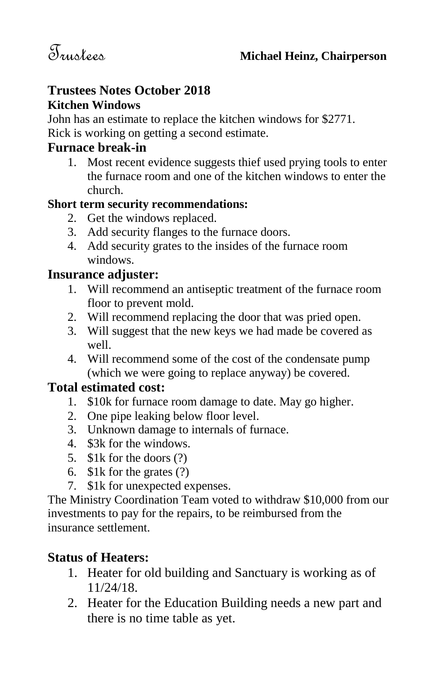#### **Trustees Notes October 2018 Kitchen Windows**

John has an estimate to replace the kitchen windows for \$2771. Rick is working on getting a second estimate.

#### **Furnace break-in**

1. Most recent evidence suggests thief used prying tools to enter the furnace room and one of the kitchen windows to enter the church.

#### **Short term security recommendations:**

- 2. Get the windows replaced.
- 3. Add security flanges to the furnace doors.
- 4. Add security grates to the insides of the furnace room windows.

#### **Insurance adjuster:**

- 1. Will recommend an antiseptic treatment of the furnace room floor to prevent mold.
- 2. Will recommend replacing the door that was pried open.
- 3. Will suggest that the new keys we had made be covered as well.
- 4. Will recommend some of the cost of the condensate pump (which we were going to replace anyway) be covered.

#### **Total estimated cost:**

- 1. \$10k for furnace room damage to date. May go higher.
- 2. One pipe leaking below floor level.
- 3. Unknown damage to internals of furnace.
- 4. \$3k for the windows.
- 5. \$1k for the doors (?)
- 6. \$1k for the grates (?)
- 7. \$1k for unexpected expenses.

The Ministry Coordination Team voted to withdraw \$10,000 from our investments to pay for the repairs, to be reimbursed from the insurance settlement.

#### **Status of Heaters:**

- 1. Heater for old building and Sanctuary is working as of 11/24/18.
- 2. Heater for the Education Building needs a new part and there is no time table as yet.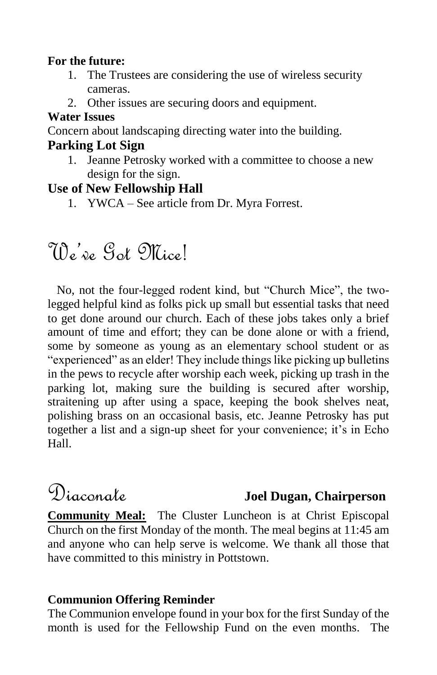#### **For the future:**

- 1. The Trustees are considering the use of wireless security cameras.
- 2. Other issues are securing doors and equipment.

#### **Water Issues**

Concern about landscaping directing water into the building.

#### **Parking Lot Sign**

1. Jeanne Petrosky worked with a committee to choose a new design for the sign.

#### **Use of New Fellowship Hall**

1. YWCA – See article from Dr. Myra Forrest.

# We've Got Mice!

 No, not the four-legged rodent kind, but "Church Mice", the twolegged helpful kind as folks pick up small but essential tasks that need to get done around our church. Each of these jobs takes only a brief amount of time and effort; they can be done alone or with a friend, some by someone as young as an elementary school student or as "experienced" as an elder! They include things like picking up bulletins in the pews to recycle after worship each week, picking up trash in the parking lot, making sure the building is secured after worship, straitening up after using a space, keeping the book shelves neat, polishing brass on an occasional basis, etc. Jeanne Petrosky has put together a list and a sign-up sheet for your convenience; it's in Echo Hall.

### Diaconate **Joel Dugan, Chairperson**

**Community Meal:** The Cluster Luncheon is at Christ Episcopal Church on the first Monday of the month. The meal begins at 11:45 am and anyone who can help serve is welcome. We thank all those that have committed to this ministry in Pottstown.

#### **Communion Offering Reminder**

The Communion envelope found in your box for the first Sunday of the month is used for the Fellowship Fund on the even months. The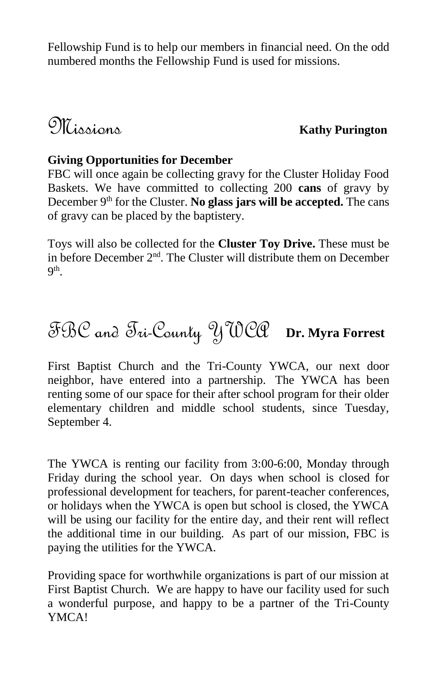Fellowship Fund is to help our members in financial need. On the odd numbered months the Fellowship Fund is used for missions.

Missions **Kathy Purington**

#### **Giving Opportunities for December**

FBC will once again be collecting gravy for the Cluster Holiday Food Baskets. We have committed to collecting 200 **cans** of gravy by December 9<sup>th</sup> for the Cluster. **No glass jars will be accepted.** The cans of gravy can be placed by the baptistery.

Toys will also be collected for the **Cluster Toy Drive.** These must be in before December 2nd. The Cluster will distribute them on December 9 th .

# FBC and Tri-County YWCA **Dr. Myra Forrest**

First Baptist Church and the Tri-County YWCA, our next door neighbor, have entered into a partnership. The YWCA has been renting some of our space for their after school program for their older elementary children and middle school students, since Tuesday, September 4.

The YWCA is renting our facility from 3:00-6:00, Monday through Friday during the school year. On days when school is closed for professional development for teachers, for parent-teacher conferences, or holidays when the YWCA is open but school is closed, the YWCA will be using our facility for the entire day, and their rent will reflect the additional time in our building. As part of our mission, FBC is paying the utilities for the YWCA.

Providing space for worthwhile organizations is part of our mission at First Baptist Church. We are happy to have our facility used for such a wonderful purpose, and happy to be a partner of the Tri-County YMCA!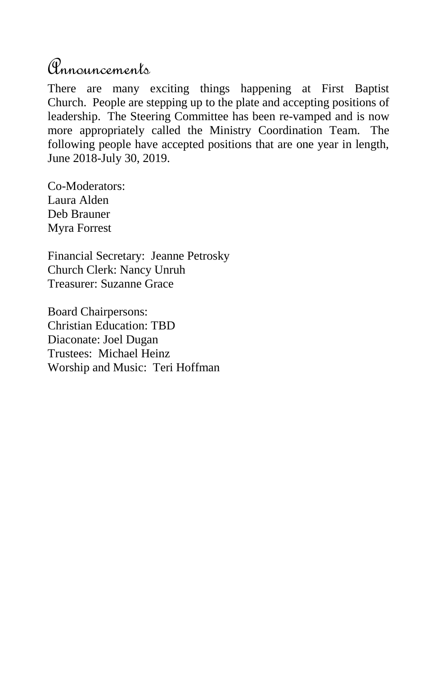## Announcements

There are many exciting things happening at First Baptist Church. People are stepping up to the plate and accepting positions of leadership. The Steering Committee has been re-vamped and is now more appropriately called the Ministry Coordination Team. The following people have accepted positions that are one year in length, June 2018-July 30, 2019.

Co-Moderators: Laura Alden Deb Brauner Myra Forrest

Financial Secretary: Jeanne Petrosky Church Clerk: Nancy Unruh Treasurer: Suzanne Grace

Board Chairpersons: Christian Education: TBD Diaconate: Joel Dugan Trustees: Michael Heinz Worship and Music: Teri Hoffman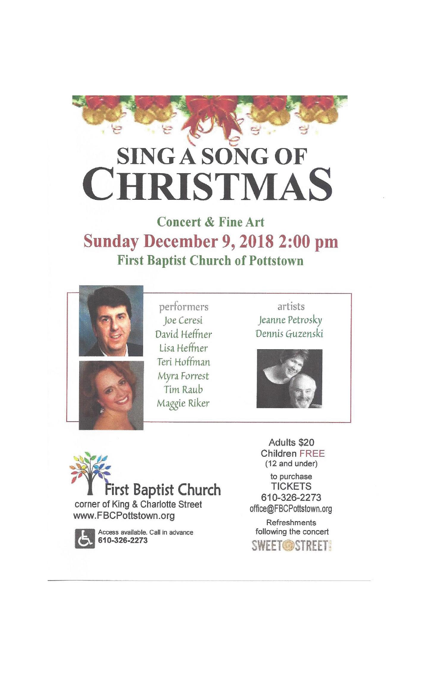

# **SING A SONG OF RISTMAS**

**Concert & Fine Art Sunday December 9, 2018 2:00 pm First Baptist Church of Pottstown** 





performers Joe Ceresi David Heffner Lisa Heffner Teri Hoffman Myra Forrest Tim Raub Maggie Riker

artists Jeanne Petrosky Dennis Guzenski





corner of King & Charlotte Street www.FBCPottstown.org



Access available. Call in advance<br>610-326-2273

Adults \$20 **Children FREE** (12 and under) to purchase **TICKETS** 610-326-2273

office@FBCPottstown.org

**Refreshments** following the concert **SWEET OSTREET!**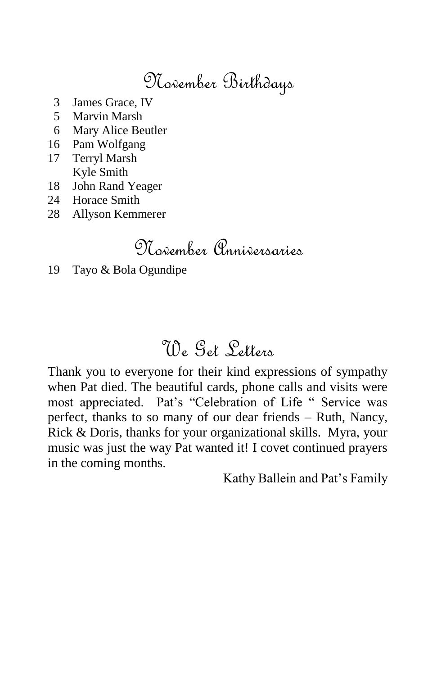## November Birthdays

- 3 James Grace, IV
- 5 Marvin Marsh
- 6 Mary Alice Beutler
- 16 Pam Wolfgang
- 17 Terryl Marsh Kyle Smith
- 18 John Rand Yeager
- 24 Horace Smith
- 28 Allyson Kemmerer

# November Anniversaries

19 Tayo & Bola Ogundipe

# We Get Letters

Thank you to everyone for their kind expressions of sympathy when Pat died. The beautiful cards, phone calls and visits were most appreciated. Pat's "Celebration of Life " Service was perfect, thanks to so many of our dear friends – Ruth, Nancy, Rick & Doris, thanks for your organizational skills. Myra, your music was just the way Pat wanted it! I covet continued prayers in the coming months.

Kathy Ballein and Pat's Family